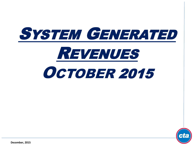



**December, 2015**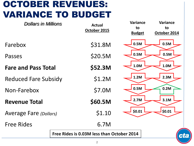# OCTOBER REVENUES: VARIANCE TO BUDGET

| <b>Dollars in Millions</b>    |  | <b>Actual</b><br>October 2015              | <b>Variance</b><br>to<br><b>Budget</b> | <b>Variance</b><br>to<br>October 2014 |
|-------------------------------|--|--------------------------------------------|----------------------------------------|---------------------------------------|
| Farebox                       |  | \$31.8M                                    | 0.5M                                   | 0.5M                                  |
| Passes                        |  | \$20.5M                                    | 0.5M                                   | 0.5M                                  |
| <b>Fare and Pass Total</b>    |  | \$52.3M                                    | 1.0M                                   | 1.0M                                  |
| <b>Reduced Fare Subsidy</b>   |  | \$1.2M                                     | 1.2M                                   | 2.3M                                  |
| Non-Farebox                   |  | \$7.0M                                     | 0.5M                                   | 0.2M                                  |
| <b>Revenue Total</b>          |  | \$60.5M                                    | 2.7M                                   | 3.1M                                  |
| <b>Average Fare (Dollars)</b> |  | \$1.10                                     | \$0.01                                 | \$0.01                                |
| <b>Free Rides</b>             |  | 6.7M                                       |                                        |                                       |
|                               |  | Free Rides is 0.03M less than October 2014 |                                        | Cl                                    |
|                               |  |                                            |                                        |                                       |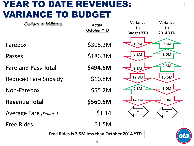## YEAR TO DATE REVENUES: VARIANCE TO BUDGET

| <b>Dollars in Millions</b>                          |  | <b>Actual</b><br><b>October YTD</b> | <b>Variance</b><br>to | <b>Variance</b><br>to |
|-----------------------------------------------------|--|-------------------------------------|-----------------------|-----------------------|
|                                                     |  |                                     | <b>Budget YTD</b>     | <b>2014 YTD</b>       |
| Farebox                                             |  | \$308.2M                            | 1.9M                  | 0.5M                  |
| Passes                                              |  | \$186.3M                            | 0.2M                  | 2.0M                  |
| <b>Fare and Pass Total</b>                          |  | \$494.5M                            | 2.1M                  | 2.5M                  |
| <b>Reduced Fare Subsidy</b>                         |  | \$10.8M                             | 12.8M                 | 10.5M                 |
| Non-Farebox                                         |  | \$55.2M                             | 0.8M                  | 1.0M                  |
| <b>Revenue Total</b>                                |  | \$560.5M                            | 14.1M                 | 9.0M                  |
| <b>Average Fare (Dollars)</b>                       |  | \$1.14                              |                       |                       |
| <b>Free Rides</b>                                   |  | 61.5M                               |                       |                       |
| Free Rides is 2.5M less than October 2014 YTD<br>CI |  |                                     |                       |                       |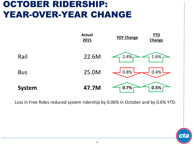## OCTOBER RIDERSHIP: YEAR-OVER-YEAR CHANGE



Loss in Free Rides reduced system ridership by 0.06% in October and by 0.6% YTD.

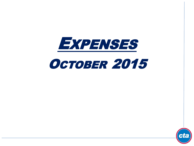

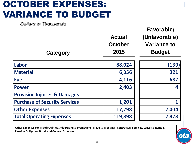# OCTOBER EXPENSES: VARIANCE TO BUDGET

*Dollars in Thousands*

| Category                                | <b>Actual</b><br>October<br>2015 | Favorable/<br>(Unfavorable)<br><b>Variance to</b><br><b>Budget</b> |
|-----------------------------------------|----------------------------------|--------------------------------------------------------------------|
| Labor                                   | 88,024                           | (139)                                                              |
| <b>Material</b>                         | 6,356                            | 321                                                                |
| <b>Fuel</b>                             | 4,116                            | 687                                                                |
| <b>Power</b>                            | 2,403                            | $\overline{\mathbf{4}}$                                            |
| <b>Provision Injuries &amp; Damages</b> |                                  |                                                                    |
| <b>Purchase of Security Services</b>    | 1,201                            | 1                                                                  |
| <b>Other Expenses</b>                   | 17,798                           | 2,004                                                              |
| <b>Total Operating Expenses</b>         | 119,898                          | 2,878                                                              |

**Other expenses consist of: Utilities, Advertising & Promotions, Travel & Meetings, Contractual Services, Leases & Rentals, Pension Obligation Bond, and General Expenses.**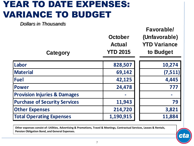## YEAR TO DATE EXPENSES: VARIANCE TO BUDGET

*Dollars in Thousands*

| Category                                | <b>October</b><br><b>Actual</b><br><b>YTD 2015</b> | Favorable/<br>(Unfavorable)<br><b>YTD Variance</b><br>to Budget |
|-----------------------------------------|----------------------------------------------------|-----------------------------------------------------------------|
| Labor                                   | 828,507                                            | 10,274                                                          |
| <b>Material</b>                         | 69,142                                             | (7, 511)                                                        |
| <b>Fuel</b>                             | 42,125                                             | 4,445                                                           |
| <b>Power</b>                            | 24,478                                             | 777                                                             |
| <b>Provision Injuries &amp; Damages</b> |                                                    |                                                                 |
| <b>Purchase of Security Services</b>    | 11,943                                             | 79                                                              |
| <b>Other Expenses</b>                   | 214,720                                            | 3,821                                                           |
| <b>Total Operating Expenses</b>         | 1,190,915                                          | 11,884                                                          |

**Other expenses consist of: Utilities, Advertising & Promotions, Travel & Meetings, Contractual Services, Leases & Rentals, Pension Obligation Bond, and General Expenses.**